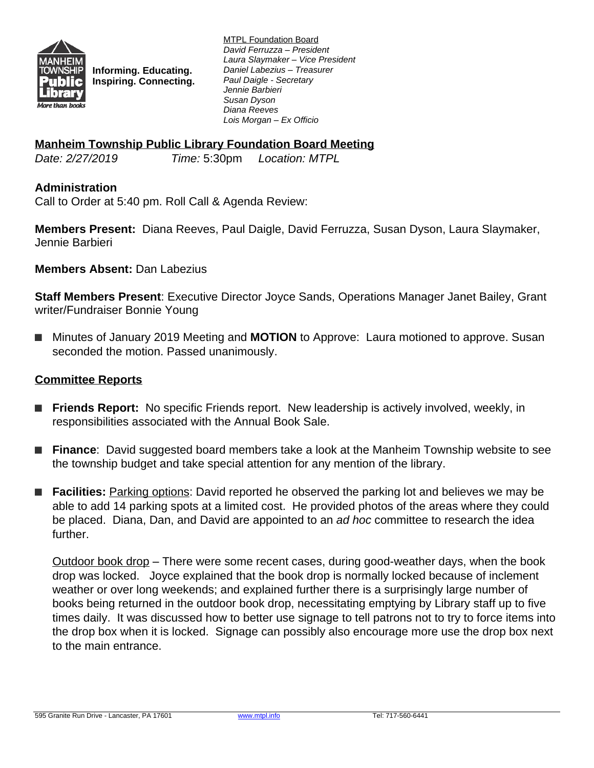

**Informing. Educating. Inspiring. Connecting.** MTPL Foundation Board *David Ferruzza – President Laura Slaymaker – Vice President Daniel Labezius – Treasurer Paul Daigle - Secretary Jennie Barbieri Susan Dyson Diana Reeves Lois Morgan – Ex Officio*

### **Manheim Township Public Library Foundation Board Meeting**

*Date: 2/27/2019 Time:* 5:30pm *Location: MTPL*

### **Administration**

Call to Order at 5:40 pm. Roll Call & Agenda Review:

**Members Present:** Diana Reeves, Paul Daigle, David Ferruzza, Susan Dyson, Laura Slaymaker, Jennie Barbieri

**Members Absent:** Dan Labezius

**Staff Members Present**: Executive Director Joyce Sands, Operations Manager Janet Bailey, Grant writer/Fundraiser Bonnie Young

■ Minutes of January 2019 Meeting and **MOTION** to Approve: Laura motioned to approve. Susan seconded the motion. Passed unanimously.

#### **Committee Reports**

- **Friends Report:** No specific Friends report. New leadership is actively involved, weekly, in responsibilities associated with the Annual Book Sale.
- **Finance**: David suggested board members take a look at the Manheim Township website to see the township budget and take special attention for any mention of the library.
- **Facilities:** Parking options: David reported he observed the parking lot and believes we may be able to add 14 parking spots at a limited cost. He provided photos of the areas where they could be placed. Diana, Dan, and David are appointed to an *ad hoc* committee to research the idea further.

Outdoor book drop – There were some recent cases, during good-weather days, when the book drop was locked. Joyce explained that the book drop is normally locked because of inclement weather or over long weekends; and explained further there is a surprisingly large number of books being returned in the outdoor book drop, necessitating emptying by Library staff up to five times daily. It was discussed how to better use signage to tell patrons not to try to force items into the drop box when it is locked. Signage can possibly also encourage more use the drop box next to the main entrance.